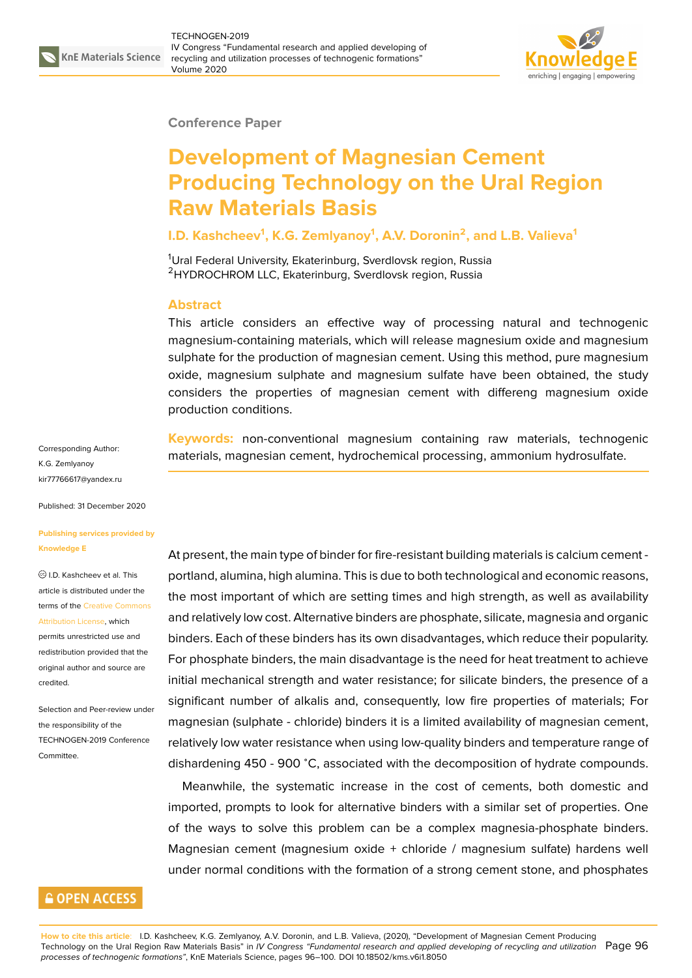

#### **Conference Paper**

# **Development of Magnesian Cement Producing Technology on the Ural Region Raw Materials Basis**

### **I.D. Kashcheev<sup>1</sup> , K.G. Zemlyanoy<sup>1</sup> , A.V. Doronin<sup>2</sup> , and L.B. Valieva<sup>1</sup>**

<sup>1</sup>Ural Federal University, Ekaterinburg, Sverdlovsk region, Russia <sup>2</sup>HYDROCHROM LLC, Ekaterinburg, Sverdlovsk region, Russia

#### **Abstract**

This article considers an effective way of processing natural and technogenic magnesium-containing materials, which will release magnesium oxide and magnesium sulphate for the production of magnesian cement. Using this method, pure magnesium oxide, magnesium sulphate and magnesium sulfate have been obtained, the study considers the properties of magnesian cement with differeng magnesium oxide production conditions.

**Keywords:** non-conventional magnesium containing raw materials, technogenic materials, magnesian cement, hydrochemical processing, ammonium hydrosulfate.

At present, the main type of binder for fire-resistant building materials is calcium cement portland, alumina, high alumina. This is due to both technological and economic reasons, the most important of which are setting times and high strength, as well as availability and relatively low cost. Alternative binders are phosphate, silicate, magnesia and organic binders. Each of these binders has its own disadvantages, which reduce their popularity. For phosphate binders, the main disadvantage is the need for heat treatment to achieve initial mechanical strength and water resistance; for silicate binders, the presence of a significant number of alkalis and, consequently, low fire properties of materials; For magnesian (sulphate - chloride) binders it is a limited availability of magnesian cement, relatively low water resistance when using low-quality binders and temperature range of dishardening 450 - 900 <sup>∘</sup>C, associated with the decomposition of hydrate compounds.

Meanwhile, the systematic increase in the cost of cements, both domestic and imported, prompts to look for alternative binders with a similar set of properties. One of the ways to solve this problem can be a complex magnesia-phosphate binders. Magnesian cement (magnesium oxide + chloride / magnesium sulfate) hardens well under normal conditions with the formation of a strong cement stone, and phosphates

Corresponding Author: K.G. Zemlyanoy kir77766617@yandex.ru

Published: 31 December 2020

#### **[Publishing services pro](mailto:kir77766617@yandex.ru)vided by Knowledge E**

I.D. Kashcheev et al. This article is distributed under the terms of the Creative Commons Attribution License, which

permits unrestricted use and redistribution provided that the original auth[or and source are](https://creativecommons.org/licenses/by/4.0/) [credited.](https://creativecommons.org/licenses/by/4.0/)

Selection and Peer-review under the responsibility of the TECHNOGEN-2019 Conference Committee.

## **GOPEN ACCESS**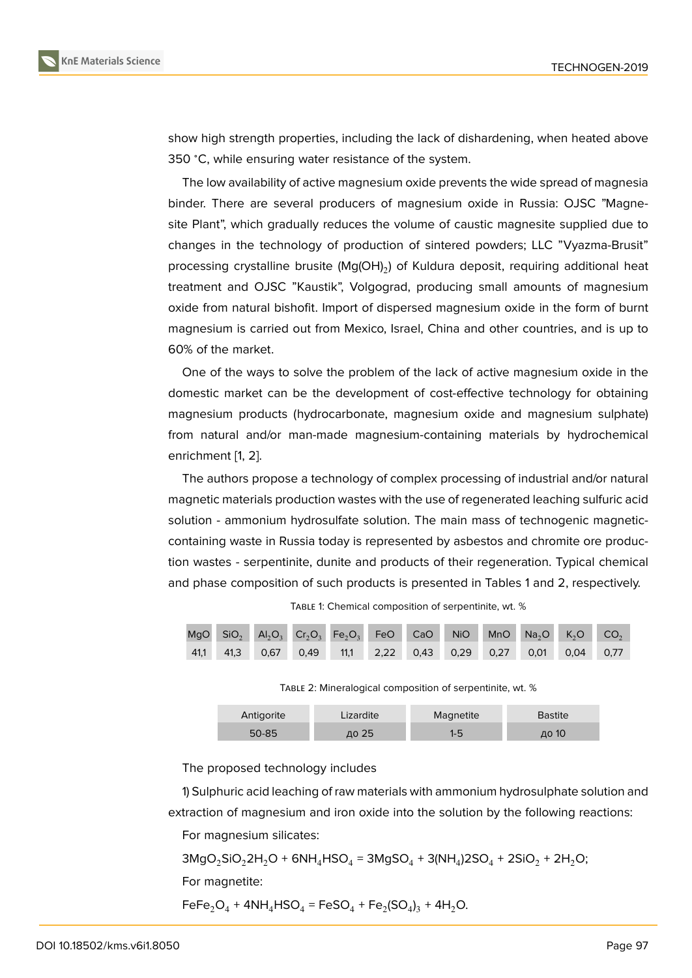show high strength properties, including the lack of dishardening, when heated above 350 <sup>∘</sup>C, while ensuring water resistance of the system.

The low availability of active magnesium oxide prevents the wide spread of magnesia binder. There are several producers of magnesium oxide in Russia: OJSC "Magnesite Plant", which gradually reduces the volume of caustic magnesite supplied due to changes in the technology of production of sintered powders; LLC "Vyazma-Brusit" processing crystalline brusite (Mg(OH)<sub>2</sub>) of Kuldura deposit, requiring additional heat treatment and OJSC "Kaustik", Volgograd, producing small amounts of magnesium oxide from natural bishofit. Import of dispersed magnesium oxide in the form of burnt magnesium is carried out from Mexico, Israel, China and other countries, and is up to 60% of the market.

One of the ways to solve the problem of the lack of active magnesium oxide in the domestic market can be the development of cost-effective technology for obtaining magnesium products (hydrocarbonate, magnesium oxide and magnesium sulphate) from natural and/or man-made magnesium-containing materials by hydrochemical enrichment [1, 2].

The authors propose a technology of complex processing of industrial and/or natural magnetic materials production wastes with the use of regenerated leaching sulfuric acid solution - a[m](#page-4-0)[mo](#page-4-1)nium hydrosulfate solution. The main mass of technogenic magneticcontaining waste in Russia today is represented by asbestos and chromite ore production wastes - serpentinite, dunite and products of their regeneration. Typical chemical and phase composition of such products is presented in Tables 1 and 2, respectively.

TABLE 1: Chemical composition of serpentinite, wt. %

|  |  |  | MgO SiO <sub>2</sub> $Al_2O_3$ $Cr_2O_3$ Fe <sub>2</sub> O <sub>3</sub> FeO CaO NiO MnO Na <sub>2</sub> O K <sub>2</sub> O CO <sub>2</sub> |  |  |
|--|--|--|--------------------------------------------------------------------------------------------------------------------------------------------|--|--|
|  |  |  | 41,1 41,3 0,67 0,49 11,1 2,22 0,43 0,29 0,27 0,01 0,04 0,77                                                                                |  |  |

TABLE 2: Mineralogical composition of serpentinite, wt. %

| Antigorite |           | Lizardite | Magnetite | Bastite |  |
|------------|-----------|-----------|-----------|---------|--|
|            | $50 - 85$ | до 25     |           | до 10   |  |

The proposed technology includes

1) Sulphuric acid leaching of raw materials with ammonium hydrosulphate solution and extraction of magnesium and iron oxide into the solution by the following reactions:

For magnesium silicates:

 $3\text{MgO}_2\text{SiO}_22\text{H}_2\text{O} + 6\text{NH}_4\text{HSO}_4 = 3\text{MgSO}_4 + 3(\text{NH}_4)2\text{SO}_4 + 2\text{SiO}_2 + 2\text{H}_2\text{O};$ For magnetite:

 $\text{FeFe}_2\text{O}_4$  +  $\text{4NH}_4\text{HSO}_4$  =  $\text{FeSO}_4$  +  $\text{Fe}_2(\text{SO}_4)_3$  +  $\text{4H}_2\text{O}$ .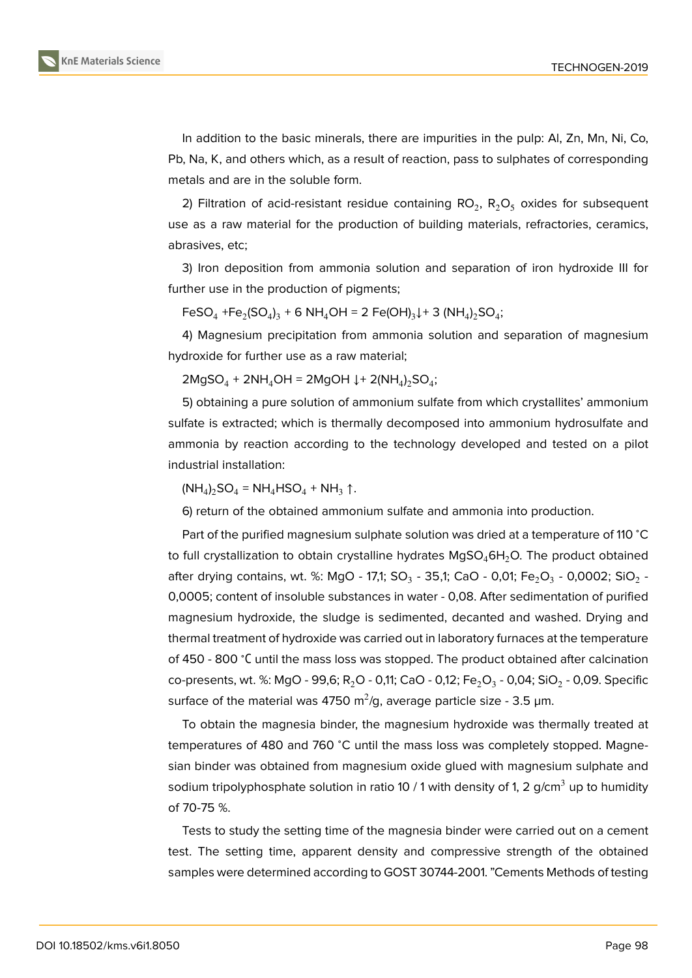

In addition to the basic minerals, there are impurities in the pulp: Al, Zn, Mn, Ni, Co, Pb, Na, K, and others which, as a result of reaction, pass to sulphates of corresponding metals and are in the soluble form.

2) Filtration of acid-resistant residue containing  $\text{RO}_2$ ,  $\text{R}_2\text{O}_5$  oxides for subsequent use as a raw material for the production of building materials, refractories, ceramics, abrasives, etc;

3) Iron deposition from ammonia solution and separation of iron hydroxide III for further use in the production of pigments;

 $\text{FeSO}_4 + \text{Fe}_2(\text{SO}_4)_3 + \text{6 NH}_4\text{OH} = 2 \text{ Fe}(\text{OH})_3 \downarrow + 3 (\text{NH}_4)_2\text{SO}_4;$ 

4) Magnesium precipitation from ammonia solution and separation of magnesium hydroxide for further use as a raw material;

 $2MgSO_4 + 2NH_4OH = 2MgOH \downarrow + 2(NH_4)_2SO_4;$ 

5) obtaining a pure solution of ammonium sulfate from which crystallites' ammonium sulfate is extracted; which is thermally decomposed into ammonium hydrosulfate and ammonia by reaction according to the technology developed and tested on a pilot industrial installation:

 $(NH_4)_2$ SO<sub>4</sub> = NH<sub>4</sub>HSO<sub>4</sub> + NH<sub>3</sub> ↑.

6) return of the obtained ammonium sulfate and ammonia into production.

Part of the purified magnesium sulphate solution was dried at a temperature of 110 ℃ to full crystallization to obtain crystalline hydrates  $MgSO_46H_2O$ . The product obtained after drying contains, wt. %: MgO - 17,1; SO $_3$  - 35,1; CaO - 0,01; Fe $_2$ O $_3$  - 0,0002; SiO $_2$  -0,0005; content of insoluble substances in water - 0,08. After sedimentation of purified magnesium hydroxide, the sludge is sedimented, decanted and washed. Drying and thermal treatment of hydroxide was carried out in laboratory furnaces at the temperature of 450 - 800 <sup>∘</sup>С until the mass loss was stopped. The product obtained after calcination co-presents, wt. %: MgO - 99,6; R $_{2}$ O - 0,11; CaO - 0,12; Fe $_{2}$ O $_{3}$  - 0,04; SiO $_{2}$  - 0,09. Specific surface of the material was 4750 m $^2$ /g, average particle size - 3.5 µm.

To obtain the magnesia binder, the magnesium hydroxide was thermally treated at temperatures of 480 and 760 ℃ until the mass loss was completely stopped. Magnesian binder was obtained from magnesium oxide glued with magnesium sulphate and sodium tripolyphosphate solution in ratio 10 / 1 with density of 1, 2 g/cm<sup>3</sup> up to humidity of 70-75 %.

Tests to study the setting time of the magnesia binder were carried out on a cement test. The setting time, apparent density and compressive strength of the obtained samples were determined according to GOST 30744-2001. "Cements Methods of testing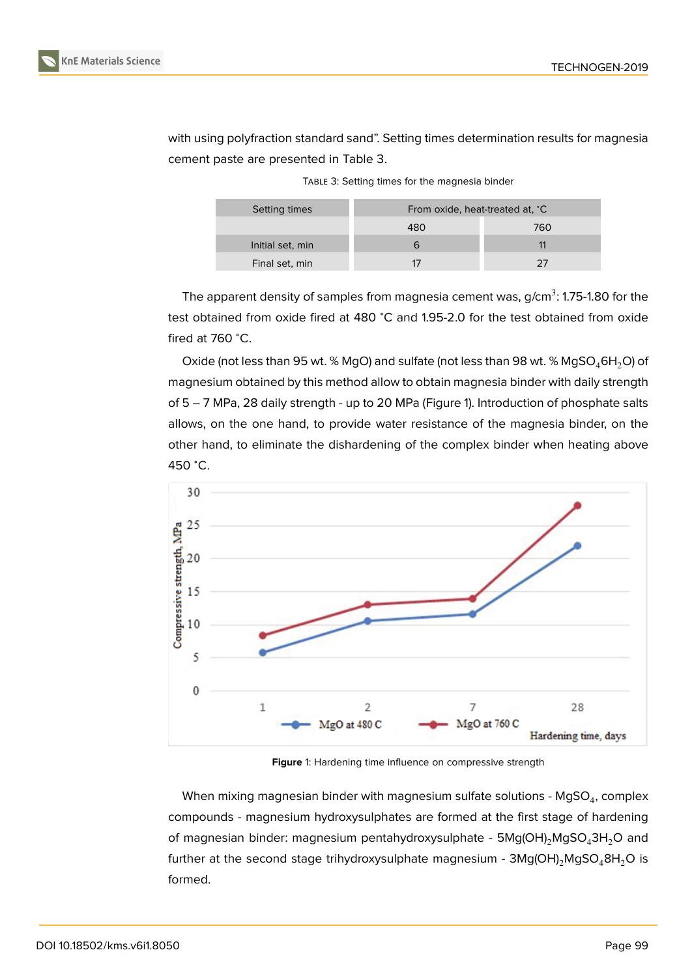with using polyfraction standard sand". Setting times determination results for magnesia cement paste are presented in Table 3.

| Setting times    |     | From oxide, heat-treated at, °C |  |  |
|------------------|-----|---------------------------------|--|--|
|                  | 480 | 760                             |  |  |
| Initial set, min |     |                                 |  |  |
| Final set, min   |     | つフ                              |  |  |

TABLE 3: Setting times for the magnesia binder

The apparent density of samples from magnesia cement was, g/cm $^3$ : 1.75-1.80 for the test obtained from oxide fired at 480 ℃ and 1.95-2.0 for the test obtained from oxide fired at 760 <sup>∘</sup>C.

Oxide (not less than 95 wt. % MgO) and sulfate (not less than 98 wt. % MgSO<sub>4</sub>6H<sub>2</sub>O) of magnesium obtained by this method allow to obtain magnesia binder with daily strength of 5 – 7 MPa, 28 daily strength - up to 20 MPa (Figure 1). Introduction of phosphate salts allows, on the one hand, to provide water resistance of the magnesia binder, on the other hand, to eliminate the dishardening of the complex binder when heating above 450 <sup>∘</sup>C.



**Figure** 1: Hardening time influence on compressive strength

When mixing magnesian binder with magnesium sulfate solutions - MgSO $_{\rm 4}$ , complex compounds - magnesium hydroxysulphates are formed at the first stage of hardening of magnesian binder: magnesium pentahydroxysulphate -  $5Mg(OH)_{2}MgSO_{4}3H_{2}O$  and further at the second stage trihydroxysulphate magnesium -  $3Mg(OH)_{2}MgSO_{4}8H_{2}O$  is formed.